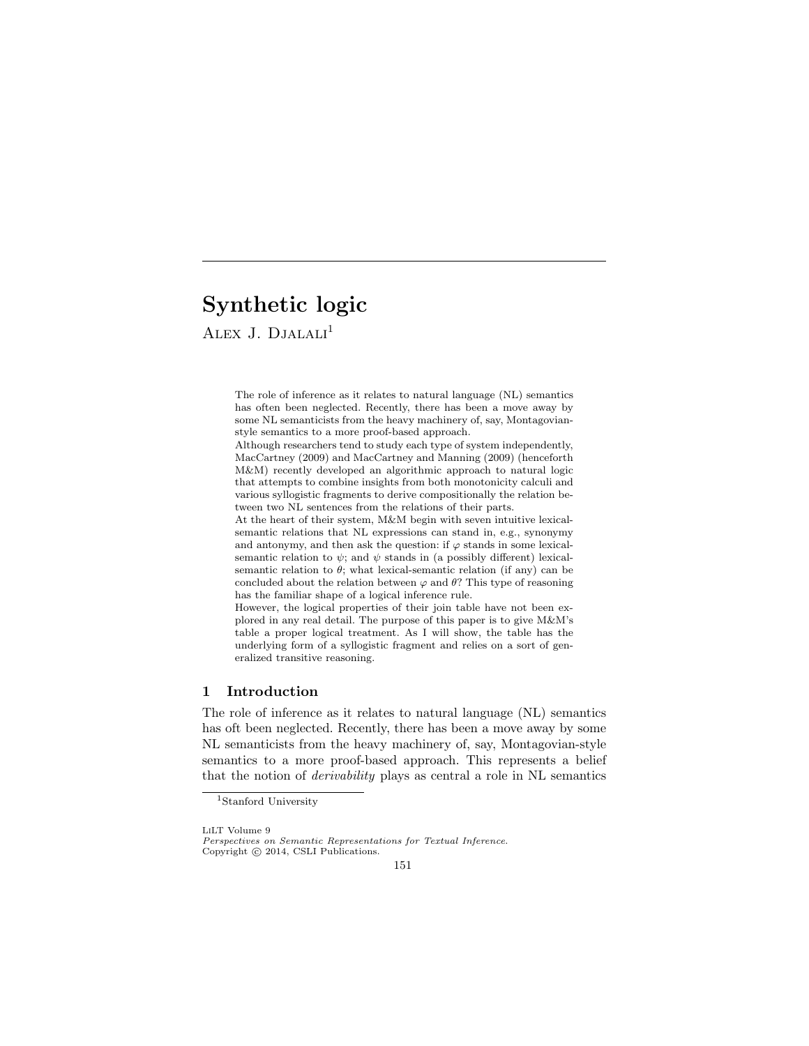# Synthetic logic

ALEX J. DJALALI<sup>1</sup>

The role of inference as it relates to natural language (NL) semantics has often been neglected. Recently, there has been a move away by some NL semanticists from the heavy machinery of, say, Montagovianstyle semantics to a more proof-based approach.

Although researchers tend to study each type of system independently, MacCartney (2009) and MacCartney and Manning (2009) (henceforth M&M) recently developed an algorithmic approach to natural logic that attempts to combine insights from both monotonicity calculi and various syllogistic fragments to derive compositionally the relation between two NL sentences from the relations of their parts.

At the heart of their system, M&M begin with seven intuitive lexicalsemantic relations that NL expressions can stand in, e.g., synonymy and antonymy, and then ask the question: if  $\varphi$  stands in some lexicalsemantic relation to  $\psi$ ; and  $\psi$  stands in (a possibly different) lexicalsemantic relation to  $\theta$ ; what lexical-semantic relation (if any) can be concluded about the relation between  $\varphi$  and  $\theta$ ? This type of reasoning has the familiar shape of a logical inference rule.

However, the logical properties of their join table have not been explored in any real detail. The purpose of this paper is to give M&M's table a proper logical treatment. As I will show, the table has the underlying form of a syllogistic fragment and relies on a sort of generalized transitive reasoning.

# 1 Introduction

The role of inference as it relates to natural language (NL) semantics has oft been neglected. Recently, there has been a move away by some NL semanticists from the heavy machinery of, say, Montagovian-style semantics to a more proof-based approach. This represents a belief that the notion of *derivability* plays as central a role in NL semantics

*Perspectives on Semantic Representations for Textual Inference*. Copyright  $\odot$  2014, CSLI Publications.

<sup>&</sup>lt;sup>1</sup>Stanford University

LiLT Volume 9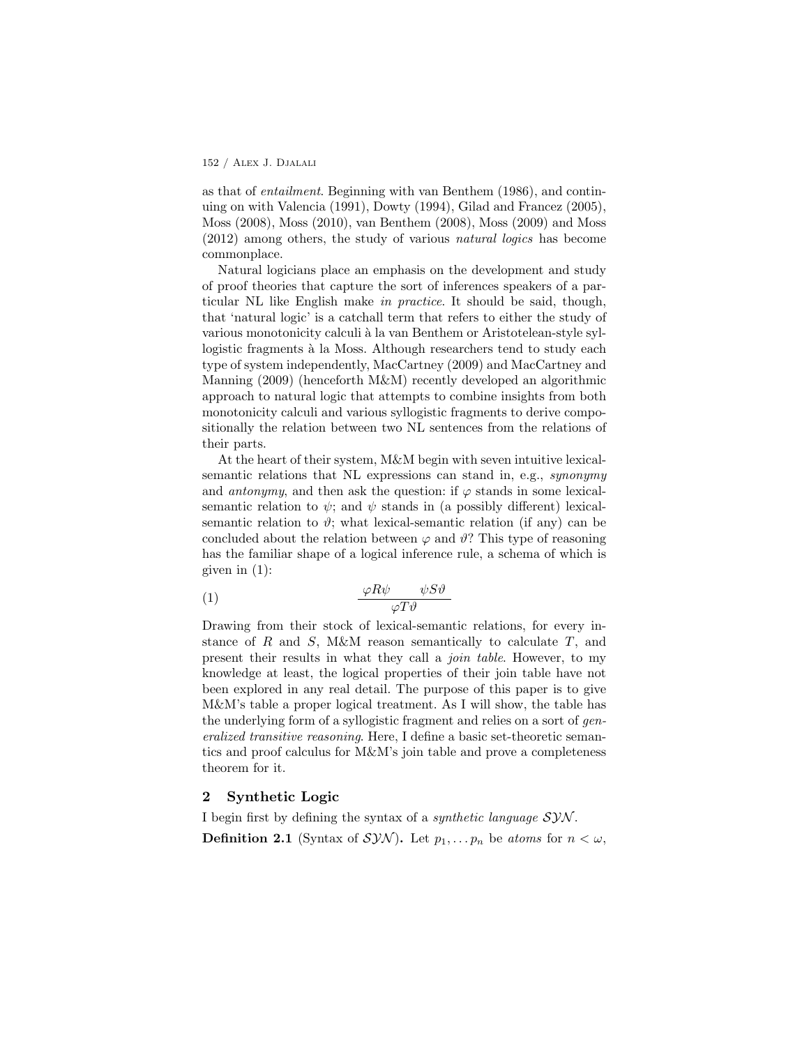as that of *entailment*. Beginning with van Benthem (1986), and continuing on with Valencia (1991), Dowty (1994), Gilad and Francez (2005), Moss (2008), Moss (2010), van Benthem (2008), Moss (2009) and Moss (2012) among others, the study of various *natural logics* has become commonplace.

Natural logicians place an emphasis on the development and study of proof theories that capture the sort of inferences speakers of a particular NL like English make *in practice*. It should be said, though, that 'natural logic' is a catchall term that refers to either the study of various monotonicity calculi à la van Benthem or Aristotelean-style syllogistic fragments à la Moss. Although researchers tend to study each type of system independently, MacCartney (2009) and MacCartney and Manning (2009) (henceforth M&M) recently developed an algorithmic approach to natural logic that attempts to combine insights from both monotonicity calculi and various syllogistic fragments to derive compositionally the relation between two NL sentences from the relations of their parts.

At the heart of their system, M&M begin with seven intuitive lexicalsemantic relations that NL expressions can stand in, e.g., *synonymy* and *antonymy*, and then ask the question: if  $\varphi$  stands in some lexicalsemantic relation to  $\psi$ ; and  $\psi$  stands in (a possibly different) lexicalsemantic relation to  $\vartheta$ ; what lexical-semantic relation (if any) can be concluded about the relation between  $\varphi$  and  $\vartheta$ ? This type of reasoning has the familiar shape of a logical inference rule, a schema of which is given in (1):

$$
(1) \qquad \qquad \frac{\varphi R \psi \qquad \psi S \vartheta}{\varphi T \vartheta}
$$

Drawing from their stock of lexical-semantic relations, for every instance of *R* and *S*, M&M reason semantically to calculate *T*, and present their results in what they call a *join table*. However, to my knowledge at least, the logical properties of their join table have not been explored in any real detail. The purpose of this paper is to give M&M's table a proper logical treatment. As I will show, the table has the underlying form of a syllogistic fragment and relies on a sort of *generalized transitive reasoning*. Here, I define a basic set-theoretic semantics and proof calculus for M&M's join table and prove a completeness theorem for it.

# 2 Synthetic Logic

I begin first by defining the syntax of a *synthetic language SYN* . **Definition 2.1** (Syntax of *SYN*). Let  $p_1, \ldots, p_n$  be *atoms* for  $n < \omega$ ,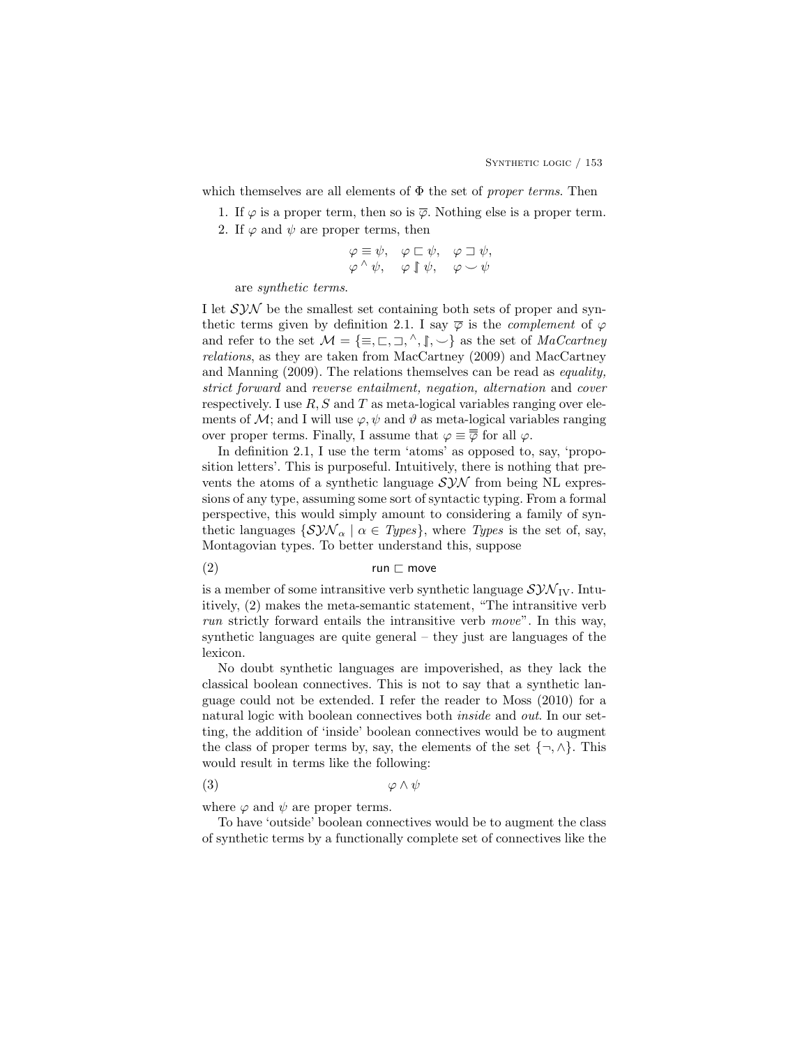which themselves are all elements of  $\Phi$  the set of *proper terms*. Then

1. If  $\varphi$  is a proper term, then so is  $\overline{\varphi}$ . Nothing else is a proper term.

2. If  $\varphi$  and  $\psi$  are proper terms, then

$$
\varphi \equiv \psi, \quad \varphi \sqsubset \psi, \quad \varphi \sqsupset \psi, \n\varphi \wedge \psi, \quad \varphi \parallel \psi, \quad \varphi \smile \psi
$$

are *synthetic terms*.

I let *SYN* be the smallest set containing both sets of proper and synthetic terms given by definition 2.1. I say  $\overline{\varphi}$  is the *complement* of  $\varphi$ and refer to the set  $\mathcal{M} = \{\equiv, \sqsubset, \sqsupset, \wedge, \mathbb{J}, \vee\}$  as the set of *MaCcartney relations*, as they are taken from MacCartney (2009) and MacCartney and Manning (2009). The relations themselves can be read as *equality, strict forward* and *reverse entailment, negation, alternation* and *cover* respectively. I use *R, S* and *T* as meta-logical variables ranging over elements of M; and I will use  $\varphi, \psi$  and  $\vartheta$  as meta-logical variables ranging over proper terms. Finally, I assume that  $\varphi \equiv \overline{\overline{\varphi}}$  for all  $\varphi$ .

In definition 2.1, I use the term 'atoms' as opposed to, say, 'proposition letters'. This is purposeful. Intuitively, there is nothing that prevents the atoms of a synthetic language *SYN* from being NL expressions of any type, assuming some sort of syntactic typing. From a formal perspective, this would simply amount to considering a family of synthetic languages  $\{SNN_{\alpha} \mid \alpha \in Types\}$ , where *Types* is the set of, say, Montagovian types. To better understand this, suppose

(2) run < move

is a member of some intransitive verb synthetic language  $S\mathcal{YN}_{IV}$ . Intuitively, (2) makes the meta-semantic statement, "The intransitive verb *run* strictly forward entails the intransitive verb *move*". In this way, synthetic languages are quite general – they just are languages of the lexicon.

No doubt synthetic languages are impoverished, as they lack the classical boolean connectives. This is not to say that a synthetic language could not be extended. I refer the reader to Moss (2010) for a natural logic with boolean connectives both *inside* and *out*. In our setting, the addition of 'inside' boolean connectives would be to augment the class of proper terms by, say, the elements of the set  $\{\neg, \wedge\}$ . This would result in terms like the following:

$$
(3) \t\t \t\t \t \t \varphi \wedge \psi
$$

where  $\varphi$  and  $\psi$  are proper terms.

To have 'outside' boolean connectives would be to augment the class of synthetic terms by a functionally complete set of connectives like the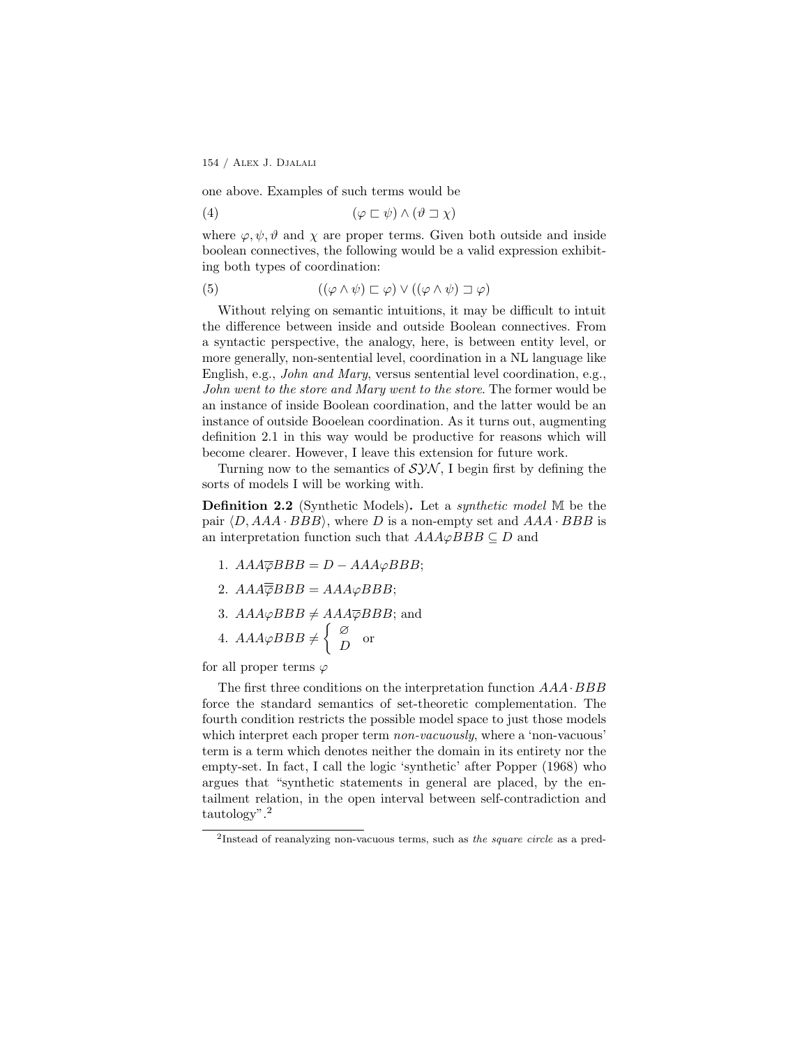one above. Examples of such terms would be

$$
(4) \qquad \qquad (\varphi \sqsubset \psi) \wedge (\vartheta \sqsupset \chi)
$$

where  $\varphi, \psi, \vartheta$  and  $\chi$  are proper terms. Given both outside and inside boolean connectives, the following would be a valid expression exhibiting both types of coordination:

(5) 
$$
((\varphi \wedge \psi) \sqsubset \varphi) \vee ((\varphi \wedge \psi) \sqsupset \varphi)
$$

Without relying on semantic intuitions, it may be difficult to intuit the difference between inside and outside Boolean connectives. From a syntactic perspective, the analogy, here, is between entity level, or more generally, non-sentential level, coordination in a NL language like English, e.g., *John and Mary*, versus sentential level coordination, e.g., *John went to the store and Mary went to the store*. The former would be an instance of inside Boolean coordination, and the latter would be an instance of outside Booelean coordination. As it turns out, augmenting definition 2.1 in this way would be productive for reasons which will become clearer. However, I leave this extension for future work.

Turning now to the semantics of  $SYN$ , I begin first by defining the sorts of models I will be working with.

Definition 2.2 (Synthetic Models). Let a *synthetic model* M be the pair  $\langle D, AAA \cdot BBB \rangle$ , where *D* is a non-empty set and  $AAA \cdot BBB$  is an interpretation function such that  $AAA\varphi BBB \subseteq D$  and

- 1.  $AA\overline{\varphi}BBB = D AAA\varphi BBB;$
- 2.  $AAA\overline{\overline{\phi}}BBB = AAA\varphi BBB;$
- 3.  $AAA\varphi BBB \neq AAA\overline{\varphi}BBB$ ; and

4. 
$$
AAA\varphi BBB \neq \begin{cases} \varnothing & \text{or} \\ D & \text{or} \end{cases}
$$

for all proper terms  $\varphi$ 

The first three conditions on the interpretation function *AAA·BBB* force the standard semantics of set-theoretic complementation. The fourth condition restricts the possible model space to just those models which interpret each proper term *non-vacuously*, where a 'non-vacuous' term is a term which denotes neither the domain in its entirety nor the empty-set. In fact, I call the logic 'synthetic' after Popper (1968) who argues that "synthetic statements in general are placed, by the entailment relation, in the open interval between self-contradiction and tautology".<sup>2</sup>

<sup>2</sup>Instead of reanalyzing non-vacuous terms, such as *the square circle* as a pred-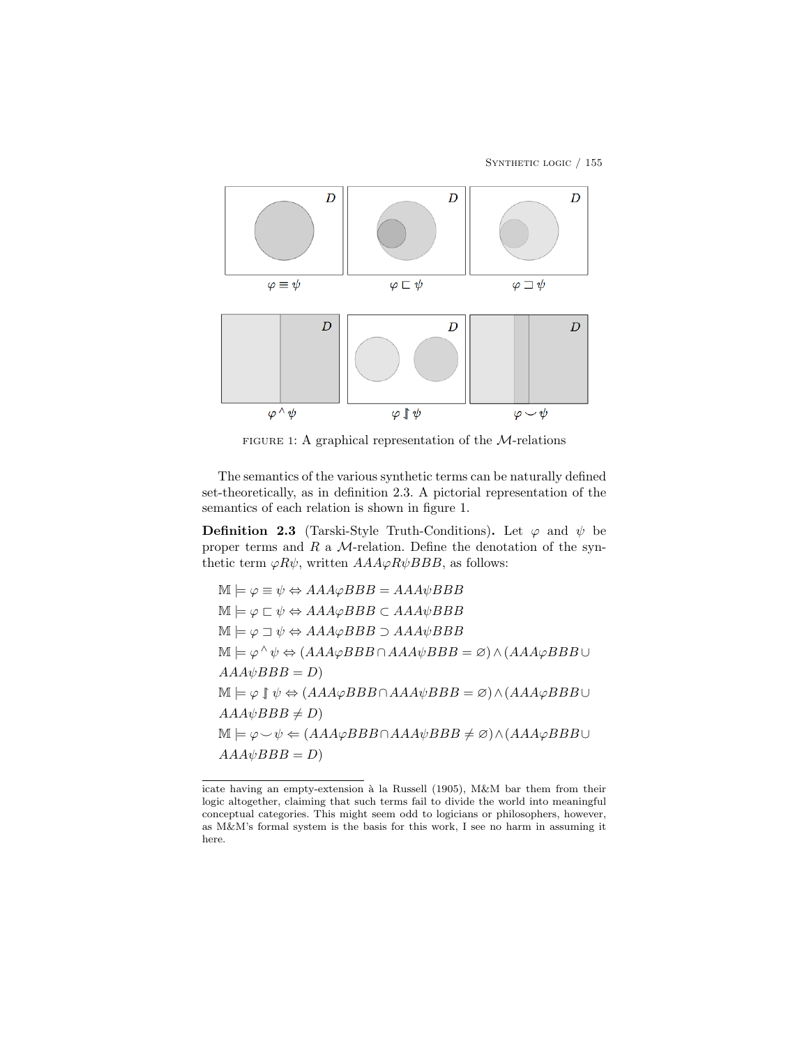SYNTHETIC LOGIC / 155



FIGURE <sup>1</sup>: A graphical representation of the *M*-relations

The semantics of the various synthetic terms can be naturally defined set-theoretically, as in definition 2.3. A pictorial representation of the semantics of each relation is shown in figure 1.

**Definition 2.3** (Tarski-Style Truth-Conditions). Let  $\varphi$  and  $\psi$  be proper terms and *R* a *M*-relation. Define the denotation of the synthetic term  $\varphi R\psi$ , written  $AAA\varphi R\psi BBB$ , as follows:

 $M \models \varphi \equiv \psi \Leftrightarrow AAA\varphiBBB = AAA\psiBBB$  $M \models \varphi \sqsubset \psi \Leftrightarrow AAA\varphi BBB\subset AAA\psiBBB$  $M \models \varphi \sqsupset \psi \Leftrightarrow AAA\varphi BBB \supset AAA\psiBBB$  $M \models \varphi^{\wedge} \psi \Leftrightarrow (AAA\varphi BBB \cap AAA\psi BBB = \varnothing) \wedge (AAA\varphi BBB \cup$  $AAA\psi BBB = D$  $M \models \varphi \upharpoonright \psi \Leftrightarrow (AAA\varphi BBB \cap AAA\psi BBB = \varnothing) \wedge (AAA\varphi BBB \cup$  $AAA\psi BBB \neq D$  $M \models \varphi \smile \psi \Leftarrow (AAA\varphi BBB\cap AAA\psi BBB \neq \varnothing) \land (AAA\varphi BBB\cup$  $AAA\psi BBB = D$ 

icate having an empty-extension à la Russell (1905), M&M bar them from their logic altogether, claiming that such terms fail to divide the world into meaningful conceptual categories. This might seem odd to logicians or philosophers, however, as M&M's formal system is the basis for this work, I see no harm in assuming it here.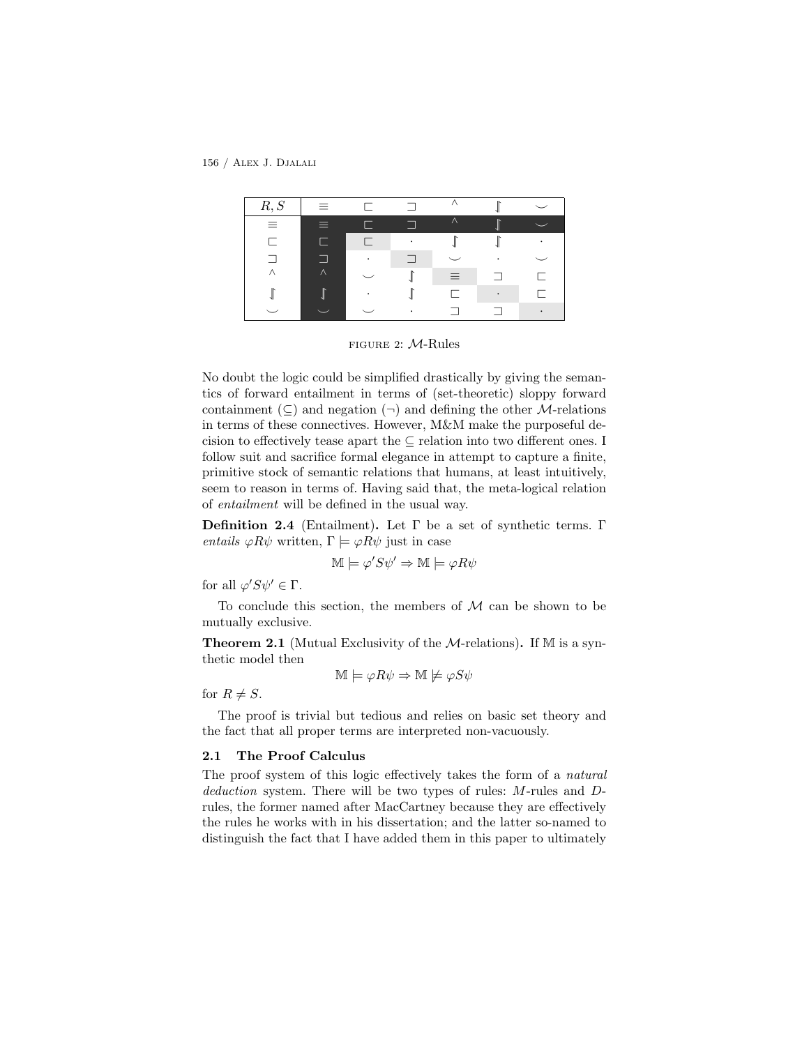156 / Alex J. Djalali

| R, S     | $\equiv$ | ┍ |          |   |   |
|----------|----------|---|----------|---|---|
| $\equiv$ | $\equiv$ | ┌ |          |   |   |
| ┍        | Ē        | □ |          |   |   |
|          |          | ٠ |          |   |   |
| Λ        | Λ        |   | $\equiv$ |   | Г |
|          |          |   | Г        | ٠ | ┍ |
|          |          |   |          |   |   |

FIGURE <sup>2</sup>: *M*-Rules

No doubt the logic could be simplified drastically by giving the semantics of forward entailment in terms of (set-theoretic) sloppy forward containment  $(\subseteq)$  and negation  $(\neg)$  and defining the other *M*-relations in terms of these connectives. However, M&M make the purposeful decision to effectively tease apart the  $\subseteq$  relation into two different ones. I follow suit and sacrifice formal elegance in attempt to capture a finite, primitive stock of semantic relations that humans, at least intuitively, seem to reason in terms of. Having said that, the meta-logical relation of *entailment* will be defined in the usual way.

**Definition 2.4** (Entailment). Let  $\Gamma$  be a set of synthetic terms.  $\Gamma$ *entails*  $\varphi R\psi$  written,  $\Gamma \models \varphi R\psi$  just in case

$$
\mathbb{M} \models \varphi' S \psi' \Rightarrow \mathbb{M} \models \varphi R \psi
$$

for all  $\varphi' S \psi' \in \Gamma$ .

To conclude this section, the members of *M* can be shown to be mutually exclusive.

Theorem 2.1 (Mutual Exclusivity of the *M*-relations). If M is a synthetic model then

$$
\mathbb{M} \models \varphi R \psi \Rightarrow \mathbb{M} \not\models \varphi S \psi
$$

for  $R \neq S$ .

The proof is trivial but tedious and relies on basic set theory and the fact that all proper terms are interpreted non-vacuously.

## 2.1 The Proof Calculus

The proof system of this logic effectively takes the form of a *natural deduction* system. There will be two types of rules: *M*-rules and *D*rules, the former named after MacCartney because they are effectively the rules he works with in his dissertation; and the latter so-named to distinguish the fact that I have added them in this paper to ultimately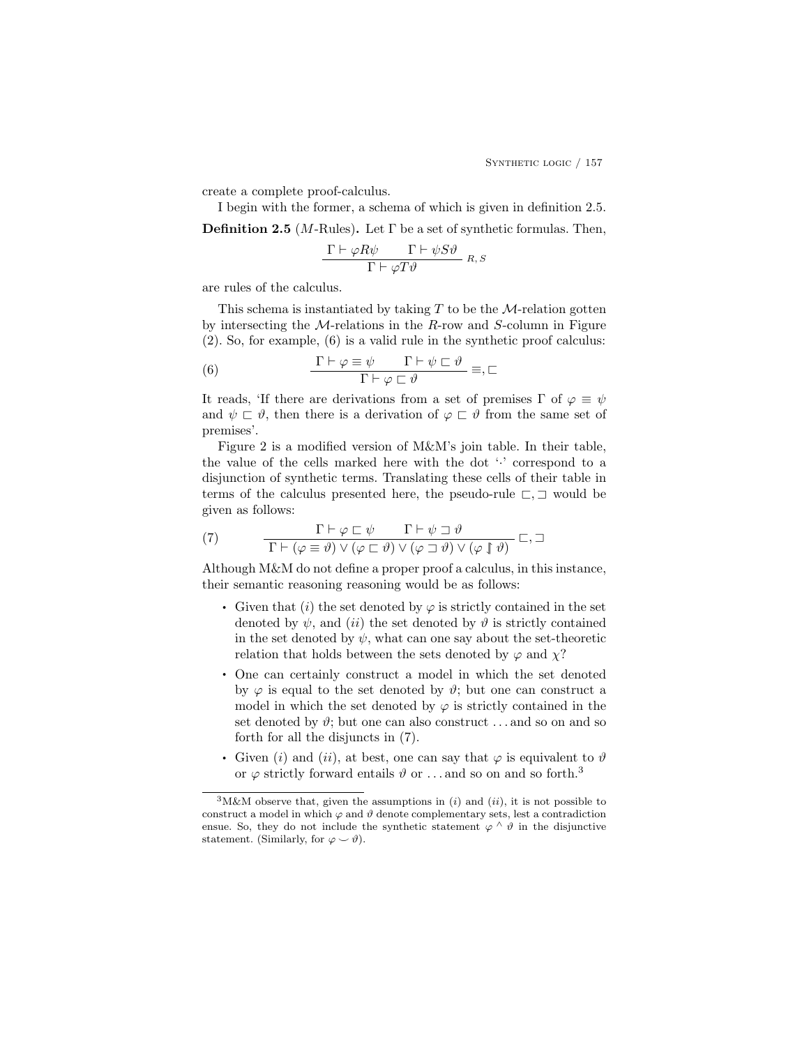create a complete proof-calculus.

I begin with the former, a schema of which is given in definition 2.5.

**Definition 2.5** (*M*-Rules). Let  $\Gamma$  be a set of synthetic formulas. Then,

$$
\frac{\Gamma \vdash \varphi R\psi \qquad \Gamma \vdash \psi S\vartheta}{\Gamma \vdash \varphi T\vartheta} R, S
$$

are rules of the calculus.

This schema is instantiated by taking *T* to be the *M*-relation gotten by intersecting the *M*-relations in the *R*-row and *S*-column in Figure (2). So, for example, (6) is a valid rule in the synthetic proof calculus:

(6) 
$$
\frac{\Gamma \vdash \varphi \equiv \psi \qquad \Gamma \vdash \psi \sqsubset \vartheta}{\Gamma \vdash \varphi \sqsubset \vartheta} \equiv , \sqsubset
$$

It reads, 'If there are derivations from a set of premises  $\Gamma$  of  $\varphi \equiv \psi$ and  $\psi \subset \vartheta$ , then there is a derivation of  $\varphi \subset \vartheta$  from the same set of premises'.

Figure 2 is a modified version of M&M's join table. In their table, the value of the cells marked here with the dot '*·*' correspond to a disjunction of synthetic terms. Translating these cells of their table in terms of the calculus presented here, the pseudo-rule  $\sqsubset$ ,  $\sqsupset$  would be given as follows:

(7) 
$$
\frac{\Gamma \vdash \varphi \sqsubset \psi \qquad \Gamma \vdash \psi \sqsupset \vartheta}{\Gamma \vdash (\varphi \equiv \vartheta) \vee (\varphi \sqsubset \vartheta) \vee (\varphi \sqsupset \vartheta) \vee (\varphi \uparrow \vartheta)} \sqsubset, \square
$$

Although M&M do not define a proper proof a calculus, in this instance, their semantic reasoning reasoning would be as follows:

- Given that (*i*) the set denoted by  $\varphi$  is strictly contained in the set denoted by  $\psi$ , and *(ii)* the set denoted by  $\vartheta$  is strictly contained in the set denoted by  $\psi$ , what can one say about the set-theoretic relation that holds between the sets denoted by  $\varphi$  and  $\chi$ ?
- . One can certainly construct a model in which the set denoted by  $\varphi$  is equal to the set denoted by  $\vartheta$ ; but one can construct a model in which the set denoted by  $\varphi$  is strictly contained in the set denoted by  $\vartheta$ ; but one can also construct ... and so on and so forth for all the disjuncts in (7).
- Given (*i*) and (*ii*), at best, one can say that  $\varphi$  is equivalent to  $\vartheta$ or  $\varphi$  strictly forward entails  $\vartheta$  or ... and so on and so forth.<sup>3</sup>

<sup>3</sup>M&M observe that, given the assumptions in (*i*) and (*ii*), it is not possible to construct a model in which  $\varphi$  and  $\vartheta$  denote complementary sets, lest a contradiction ensue. So, they do not include the synthetic statement  $\varphi \wedge \vartheta$  in the disjunctive statement. (Similarly, for  $\varphi \smile \vartheta$ ).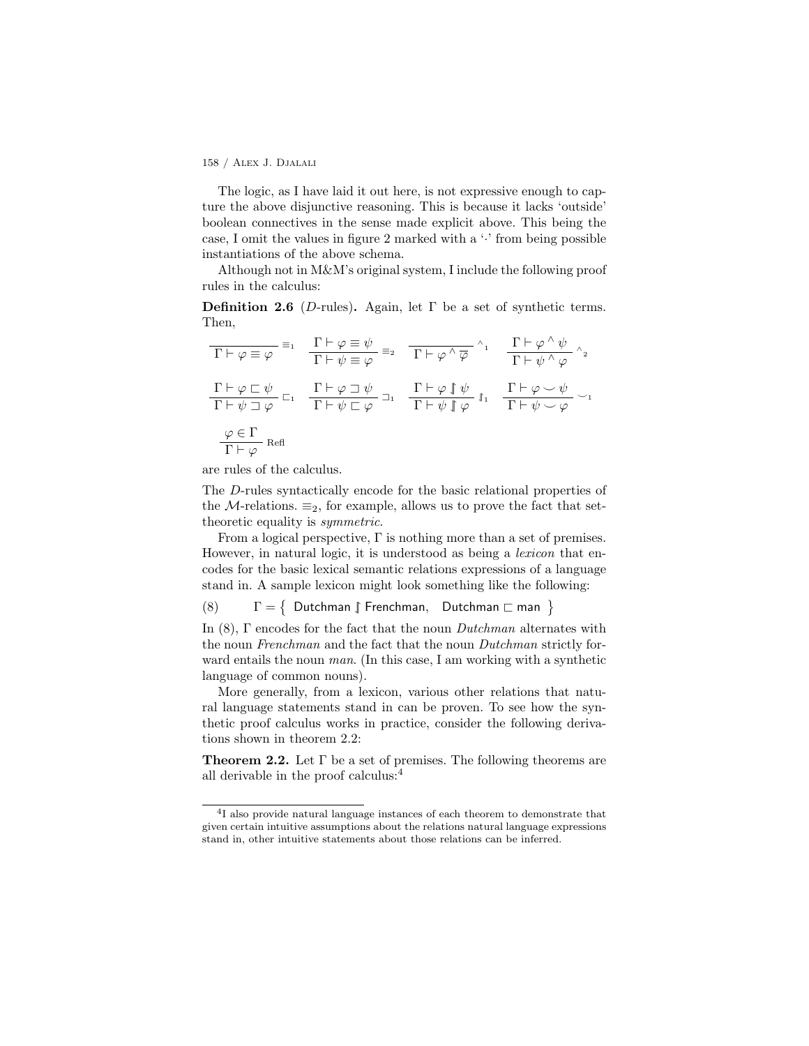The logic, as I have laid it out here, is not expressive enough to capture the above disjunctive reasoning. This is because it lacks 'outside' boolean connectives in the sense made explicit above. This being the case, I omit the values in figure 2 marked with a '*·*' from being possible instantiations of the above schema.

Although not in M&M's original system, I include the following proof rules in the calculus:

**Definition 2.6** (*D*-rules). Again, let  $\Gamma$  be a set of synthetic terms. Then,

$$
\begin{aligned}\n\overline{\Gamma \vdash \varphi \equiv \varphi} & \equiv_1 \quad \frac{\Gamma \vdash \varphi \equiv \psi}{\Gamma \vdash \psi \equiv \varphi} \equiv_2 \quad \overline{\Gamma \vdash \varphi \land \overline{\varphi}} \land_1 \quad \frac{\Gamma \vdash \varphi \land \psi}{\Gamma \vdash \psi \land \varphi} \land_2 \\
\frac{\Gamma \vdash \varphi \sqsubset \psi}{\Gamma \vdash \psi \sqsupset \varphi} \sqsubset_1 \quad \frac{\Gamma \vdash \varphi \sqsupset \psi}{\Gamma \vdash \psi \sqsubset \varphi} \sqsupset_1 \quad \frac{\Gamma \vdash \varphi \mathop{\parallel} \psi}{\Gamma \vdash \psi \mathop{\parallel} \varphi} \mathop{\downarrow_1} \quad \frac{\Gamma \vdash \varphi \smile \psi}{\Gamma \vdash \psi \smile \varphi} \lor_1 \\
\frac{\varphi \in \Gamma}{\Gamma \vdash \varphi} \text{Refl} \\
\frac{\varphi \in \Gamma}{\Gamma \vdash \varphi} \text{Refl}\n\end{aligned}
$$

are rules of the calculus.

The *D*-rules syntactically encode for the basic relational properties of the *M*-relations.  $\equiv_2$ , for example, allows us to prove the fact that settheoretic equality is *symmetric*.

From a logical perspective,  $\Gamma$  is nothing more than a set of premises. However, in natural logic, it is understood as being a *lexicon* that encodes for the basic lexical semantic relations expressions of a language stand in. A sample lexicon might look something like the following:

(8)  $\Gamma = \{$  Dutchman  $\mathbb{I}$  Frenchman, Dutchman  $\sqsubset$  man  $\}$ 

In  $(8)$ ,  $\Gamma$  encodes for the fact that the noun *Dutchman* alternates with the noun *Frenchman* and the fact that the noun *Dutchman* strictly forward entails the noun *man*. (In this case, I am working with a synthetic language of common nouns).

More generally, from a lexicon, various other relations that natural language statements stand in can be proven. To see how the synthetic proof calculus works in practice, consider the following derivations shown in theorem 2.2:

**Theorem 2.2.** Let  $\Gamma$  be a set of premises. The following theorems are all derivable in the proof calculus:<sup>4</sup>

<sup>4</sup>I also provide natural language instances of each theorem to demonstrate that given certain intuitive assumptions about the relations natural language expressions stand in, other intuitive statements about those relations can be inferred.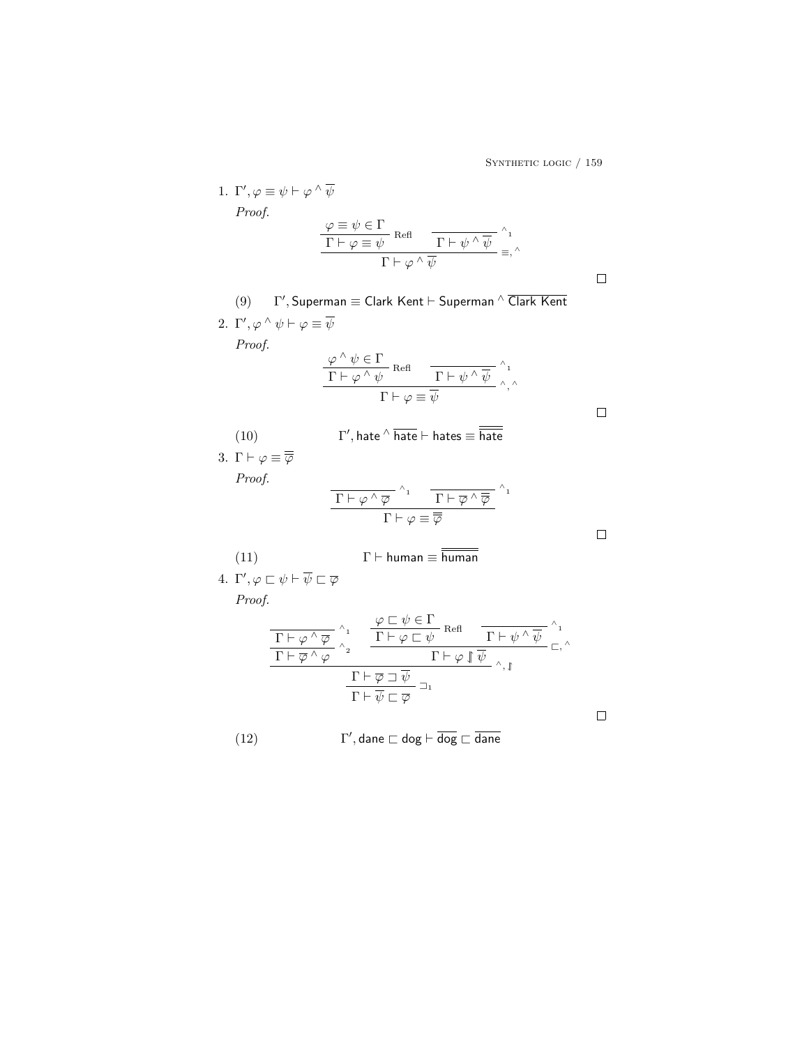SYNTHETIC LOGIC  $/$  159

 $\Box$ 

1. 
$$
\Gamma', \varphi \equiv \psi \vdash \varphi \land \overline{\psi}
$$
  
\n*Proof.*  
\n
$$
\varphi \equiv \psi \in \Gamma
$$
\n
$$
\frac{\varphi \equiv \psi \in \Gamma}{\Gamma \vdash \varphi \equiv \psi} \text{Refl} \qquad \frac{\Gamma \vdash \psi \land \overline{\psi}}{\Gamma \vdash \psi \land \overline{\psi}} \stackrel{\wedge_1}{\equiv},
$$

 $(9)$   $\Gamma',$  Superman  $\equiv$  Clark Kent  $\vdash$  Superman  $\wedge$  Clark Kent 2.  $\Gamma', \varphi \wedge \psi \vdash \varphi \equiv \psi$ 

*Proof.*

Proof.

\n
$$
\frac{\varphi \wedge \psi \in \Gamma}{\Gamma \vdash \varphi \wedge \psi} \text{ Ref } \frac{\Gamma \vdash \psi \wedge \overline{\psi}}{\Gamma \vdash \varphi \equiv \overline{\psi}} \wedge \varphi
$$
\n
$$
(10) \qquad \qquad \Gamma', \text{ hate } \wedge \overline{\text{ hate}} \vdash \text{hates } \equiv \overline{\text{hat}}
$$
\n
$$
3. \Gamma \vdash \varphi \equiv \overline{\overline{\varphi}}
$$
\nProof.

\n
$$
\frac{\Gamma \vdash \varphi \wedge \overline{\varphi} \wedge \varphi}{\Gamma \vdash \varphi \equiv \overline{\overline{\varphi}} \wedge \overline{\overline{\varphi}} \wedge \varphi}
$$
\n
$$
(11) \qquad \qquad \Gamma \vdash \text{human} \equiv \overline{\text{human}}
$$

4. 
$$
\Gamma', \varphi \sqsubset \psi \vdash \overline{\psi} \sqsubset \overline{\varphi}
$$

*Proof.*

$$
\frac{\frac{\varphi \sqsubset \psi \in \Gamma}{\Gamma \vdash \varphi \land \overline{\varphi}} \land_1 \qquad \frac{\varphi \sqsubset \psi \in \Gamma}{\Gamma \vdash \varphi \sqsubset \psi} \text{Refl} \qquad \frac{\Gamma \vdash \psi \land \overline{\psi}}{\Gamma \vdash \overline{\varphi} \land \varphi} \land_1}{\frac{\Gamma \vdash \overline{\varphi} \sqsubset \overline{\psi}}{\Gamma \vdash \overline{\psi} \sqsubset \overline{\varphi}} \sqsupset_1} \land_1, \mathbb{I}
$$

(12) 
$$
\Gamma', \text{dane } \sqsubset \text{dog} \vdash \overline{\text{dog}} \sqsubset \overline{\text{dane}}
$$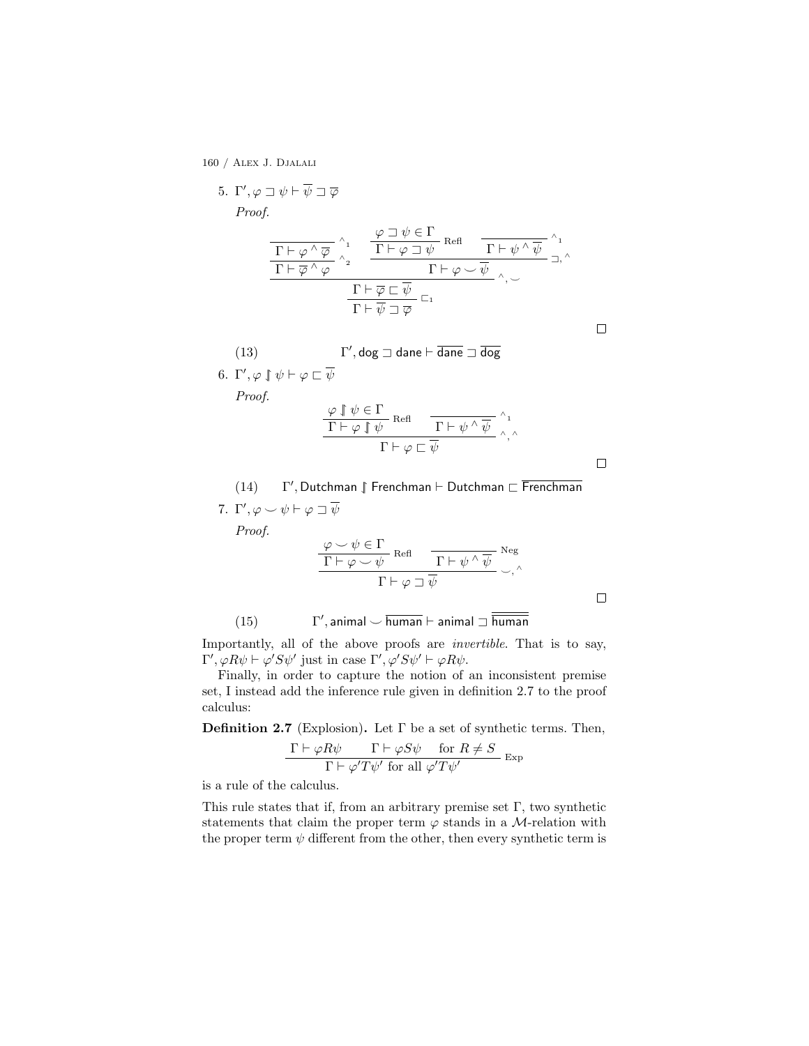5. 
$$
\Gamma', \varphi \sqsupset \psi \vdash \overline{\psi} \sqsupset \overline{\varphi}
$$
  
*Proof.*

$$
\frac{\frac{\varphi \sqsupset \psi \in \Gamma}{\Gamma \vdash \varphi \land \overline{\varphi}} \wedge_2}{\frac{\Gamma \vdash \varphi \land \varphi}{\Gamma \vdash \varphi \land \varphi}} \wedge_2
$$
\n
$$
\frac{\frac{\varphi \sqsupset \psi \in \Gamma}{\Gamma \vdash \varphi \sqsupset \psi} \text{Refl}}{\frac{\Gamma \vdash \varphi \lor \overline{\psi}}{\Gamma \vdash \overline{\psi} \sqsupset \overline{\varphi}} \text{E}_1} \wedge \text{Var}_1
$$

(13) 
$$
\Gamma', \text{dog } \sqsupset \text{dane } \vdash \overline{\text{dane}} \sqsupset \overline{\text{dog}}
$$

6. 
$$
\Gamma', \varphi \uparrow \psi \vdash \varphi \sqsubset \overline{\psi}
$$

*Proof.*

$$
\frac{\varphi \downarrow \psi \in \Gamma}{\Gamma \vdash \varphi \downarrow \psi} \text{ Ref } \frac{\Gamma \vdash \psi \land \overline{\psi}}{\Gamma \vdash \varphi \sqsubset \overline{\psi}} \land_{1}^{\wedge} \sim
$$

 $\Box$ 

 $(14)$ *I*', Dutchman *∫* Frenchman  $\vdash$  Dutchman  $\sqsubset$  Frenchman 7.  $\Gamma', \varphi \smile \psi \vdash \varphi \sqsupset \psi$ 

*Proof.*

 $(15)$ 

$$
\frac{\varphi \smile \psi \in \Gamma}{\Gamma \vdash \varphi \smile \psi} \stackrel{\text{Refl}}{\text{Refl}} \frac{\Gamma \vdash \psi \land \overline{\psi}}{\Gamma \vdash \varphi \land \overline{\psi}} \searrow^{\text{Neg}}_{\land}
$$
\n
$$
\Gamma', \text{animal} \smile \frac{\overline{\psi}}{\text{human}} \vdash \text{animal} \sqsupset \frac{\overline{\psi}}{\text{human}}
$$

Importantly, all of the above proofs are *invertible*. That is to say,  $\Gamma', \varphi R \psi \vdash \varphi' S \psi'$  just in case  $\Gamma', \varphi' S \psi' \vdash \varphi R \psi$ .

Finally, in order to capture the notion of an inconsistent premise set, I instead add the inference rule given in definition 2.7 to the proof calculus:

**Definition 2.7** (Explosion). Let  $\Gamma$  be a set of synthetic terms. Then,

$$
\frac{\Gamma \vdash \varphi R\psi \qquad \Gamma \vdash \varphi S\psi \qquad \text{for } R \neq S}{\Gamma \vdash \varphi' T\psi' \text{ for all } \varphi' T\psi'} \text{ Exp}
$$

is a rule of the calculus.

This rule states that if, from an arbitrary premise set  $\Gamma$ , two synthetic statements that claim the proper term  $\varphi$  stands in a *M*-relation with the proper term  $\psi$  different from the other, then every synthetic term is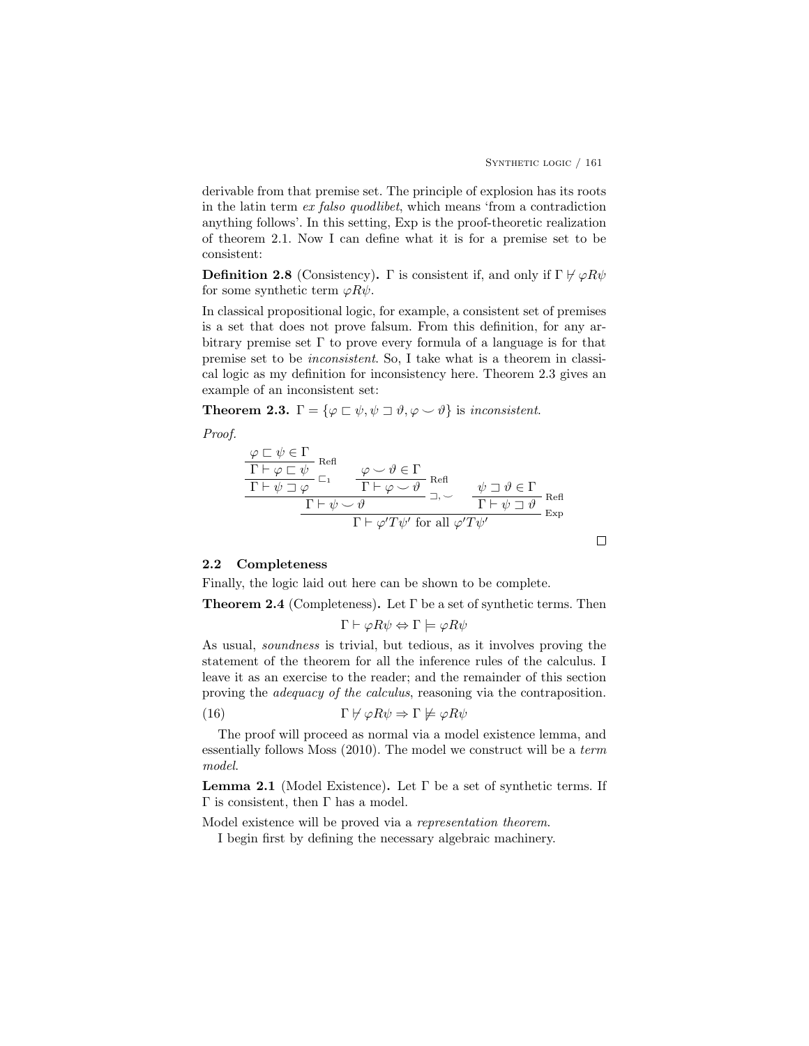$\Box$ 

derivable from that premise set. The principle of explosion has its roots in the latin term *ex falso quodlibet*, which means 'from a contradiction anything follows'. In this setting, Exp is the proof-theoretic realization of theorem 2.1. Now I can define what it is for a premise set to be consistent:

**Definition 2.8** (Consistency).  $\Gamma$  is consistent if, and only if  $\Gamma \nvdash \varphi R\psi$ for some synthetic term  $\varphi R \psi$ .

In classical propositional logic, for example, a consistent set of premises is a set that does not prove falsum. From this definition, for any arbitrary premise set  $\Gamma$  to prove every formula of a language is for that premise set to be *inconsistent*. So, I take what is a theorem in classical logic as my definition for inconsistency here. Theorem 2.3 gives an example of an inconsistent set:

**Theorem 2.3.**  $\Gamma = {\varphi \sqsubset \psi, \psi \sqsupset \vartheta, \varphi \smile \vartheta}$  is *inconsistent*.

*Proof.*

$$
\frac{\varphi \sqsubset \psi \in \Gamma}{\Gamma \vdash \varphi \sqsubset \psi} \xrightarrow{\text{Refl}} \frac{\varphi \smile \vartheta \in \Gamma}{\Gamma \vdash \varphi \smile \vartheta} \xrightarrow{\text{Refl}} \frac{\varphi \downarrow \vartheta \in \Gamma}{\Gamma \vdash \varphi \smile \vartheta} \xrightarrow{\text{Refl}} \frac{\psi \sqsupset \vartheta \in \Gamma}{\Gamma \vdash \psi \sqsupset \vartheta} \xrightarrow{\text{Refl}} \text{Refl}
$$
\n
$$
\frac{\Gamma \vdash \psi \smile \vartheta}{\Gamma \vdash \varphi' T \psi' \text{ for all } \varphi' T \psi'} \xrightarrow{\text{Exp}} \text{Exp}
$$

## 2.2 Completeness

Finally, the logic laid out here can be shown to be complete.

**Theorem 2.4** (Completeness). Let  $\Gamma$  be a set of synthetic terms. Then

$$
\Gamma \vdash \varphi R \psi \Leftrightarrow \Gamma \models \varphi R \psi
$$

As usual, *soundness* is trivial, but tedious, as it involves proving the statement of the theorem for all the inference rules of the calculus. I leave it as an exercise to the reader; and the remainder of this section proving the *adequacy of the calculus*, reasoning via the contraposition.

(16) 
$$
\Gamma \not\vdash \varphi R \psi \Rightarrow \Gamma \not\models \varphi R \psi
$$

The proof will proceed as normal via a model existence lemma, and essentially follows Moss (2010). The model we construct will be a *term model*.

**Lemma 2.1** (Model Existence). Let  $\Gamma$  be a set of synthetic terms. If  $\Gamma$  is consistent, then  $\Gamma$  has a model.

Model existence will be proved via a *representation theorem*.

I begin first by defining the necessary algebraic machinery.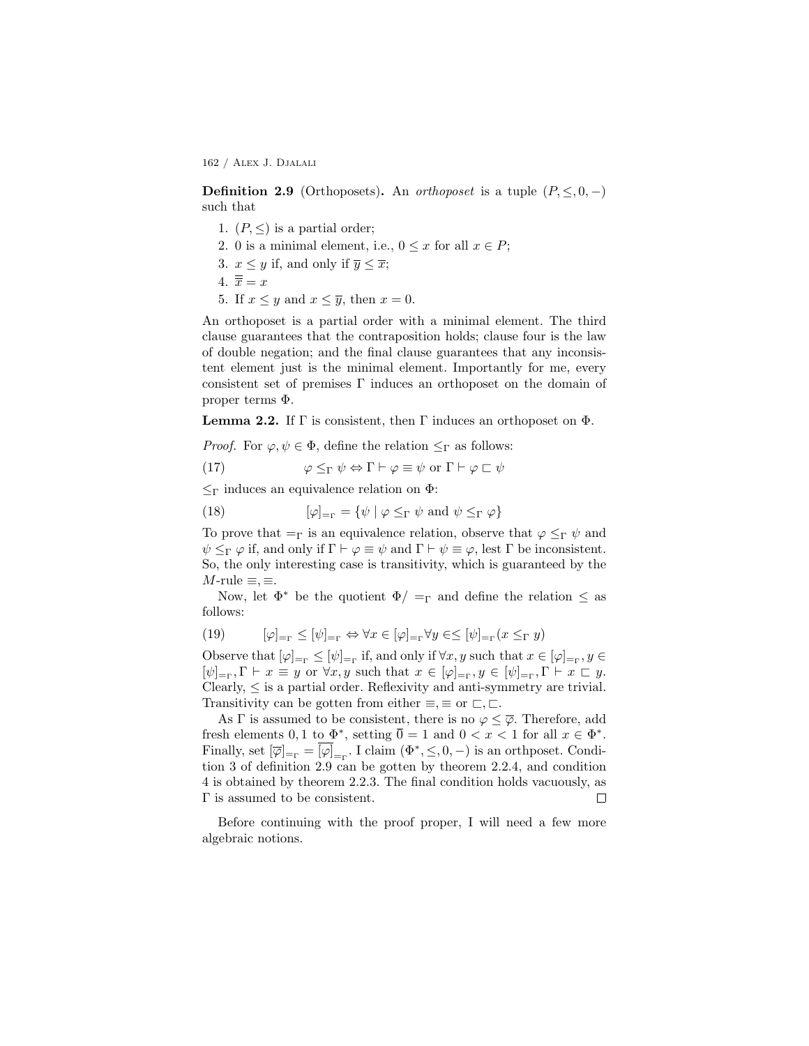**Definition 2.9** (Orthoposets). An *orthoposet* is a tuple  $(P, \leq, 0, -)$ such that

- 1.  $(P, \leq)$  is a partial order;
- 2. 0 is a minimal element, i.e.,  $0 \leq x$  for all  $x \in P$ ;
- 3.  $x \leq y$  if, and only if  $\overline{y} \leq \overline{x}$ ;
- 4.  $\overline{\overline{x}} = x$
- 5. If  $x \leq y$  and  $x \leq \overline{y}$ , then  $x = 0$ .

An orthoposet is a partial order with a minimal element. The third clause guarantees that the contraposition holds; clause four is the law of double negation; and the final clause guarantees that any inconsistent element just is the minimal element. Importantly for me, every consistent set of premises  $\Gamma$  induces an orthoposet on the domain of proper terms  $\Phi$ .

**Lemma 2.2.** If  $\Gamma$  is consistent, then  $\Gamma$  induces an orthoposet on  $\Phi$ .

*Proof.* For  $\varphi, \psi \in \Phi$ , define the relation  $\leq_{\Gamma}$  as follows:

(17) 
$$
\varphi \leq_{\Gamma} \psi \Leftrightarrow \Gamma \vdash \varphi \equiv \psi \text{ or } \Gamma \vdash \varphi \sqsubset \psi
$$

 $\leq_{\Gamma}$  induces an equivalence relation on  $\Phi$ :

(18) 
$$
[\varphi]_{=\Gamma} = {\psi \mid \varphi \leq_{\Gamma} \psi \text{ and } \psi \leq_{\Gamma} \varphi}
$$

To prove that  $=_{\Gamma}$  is an equivalence relation, observe that  $\varphi \leq_{\Gamma} \psi$  and  $\psi \leq_{\Gamma} \varphi$  if, and only if  $\Gamma \vdash \varphi \equiv \psi$  and  $\Gamma \vdash \psi \equiv \varphi$ , lest  $\Gamma$  be inconsistent. So, the only interesting case is transitivity, which is guaranteed by the  $M$ -rule  $\equiv$ , $\equiv$ .

Now, let  $\Phi^*$  be the quotient  $\Phi/ =_{\Gamma}$  and define the relation  $\leq$  as follows:

(19) 
$$
[\varphi]_{=r} \leq [\psi]_{=r} \Leftrightarrow \forall x \in [\varphi]_{=r} \forall y \in \leq [\psi]_{=r} (x \leq_\Gamma y)
$$

Observe that  $[\varphi]_{=_{\Gamma}} \leq [\psi]_{=_{\Gamma}}$  if, and only if  $\forall x, y$  such that  $x \in [\varphi]_{=_{\Gamma}}, y \in$  $[\psi]_{r}$ ,  $\Gamma \vdash x \equiv y$  or  $\forall x, y$  such that  $x \in [\varphi]_{r}$ ,  $y \in [\psi]_{r}$ ,  $\Gamma \vdash x \sqsubset y$ . Clearly,  $\leq$  is a partial order. Reflexivity and anti-symmetry are trivial. Transitivity can be gotten from either  $\equiv$ ,  $\equiv$  or  $\sqsubset$ ,  $\sqsubset$ .

As  $\Gamma$  is assumed to be consistent, there is no  $\varphi \leq \overline{\varphi}$ . Therefore, add fresh elements 0, 1 to  $\Phi^*$ , setting  $\overline{0} = 1$  and  $0 < x < 1$  for all  $x \in \Phi^*$ . Finally, set  $[\overline{\varphi}]_{=_{\Gamma}} = [\varphi]_{=_{\Gamma}}$ . I claim  $(\Phi^*, \leq, 0, -)$  is an orthposet. Condition 3 of definition 2.9 can be gotten by theorem 2.2.4, and condition 4 is obtained by theorem 2.2.3. The final condition holds vacuously, as  $\Gamma$  is assumed to be consistent.  $\Box$ 

Before continuing with the proof proper, I will need a few more algebraic notions.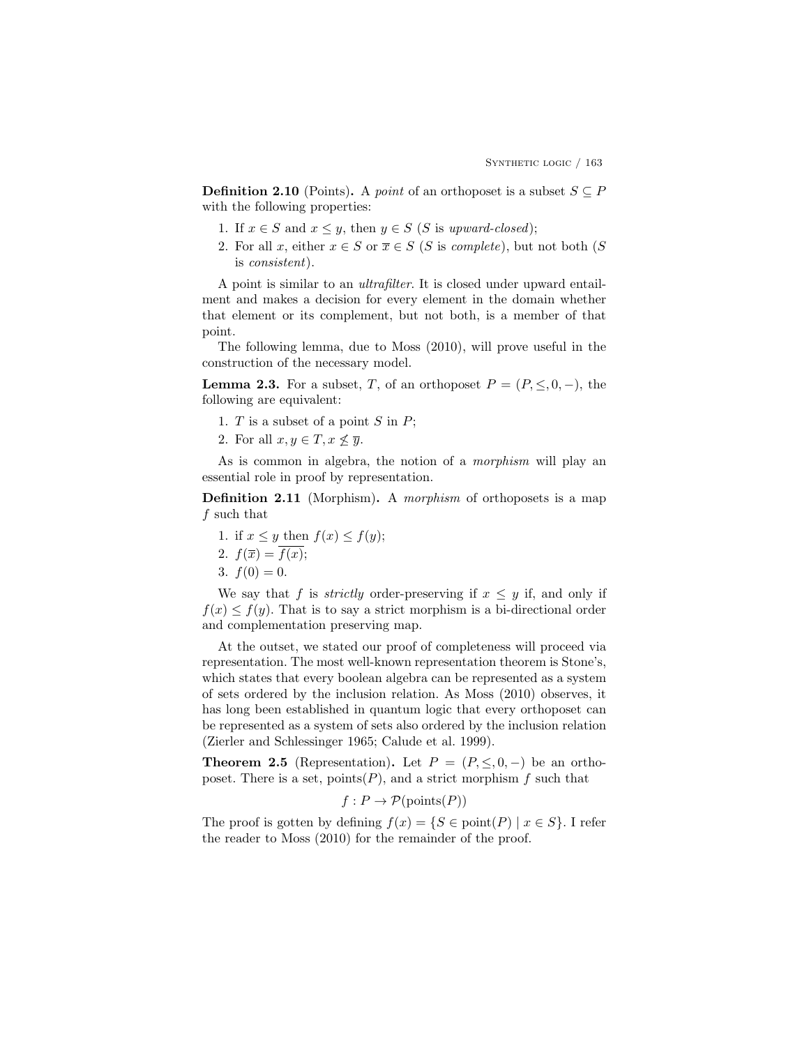**Definition 2.10** (Points). A *point* of an orthoposet is a subset  $S \subseteq P$ with the following properties:

- 1. If  $x \in S$  and  $x \leq y$ , then  $y \in S$  (*S* is *upward-closed*);
- 2. For all *x*, either  $x \in S$  or  $\overline{x} \in S$  (*S* is *complete*), but not both (*S* is *consistent*).

A point is similar to an *ultrafilter*. It is closed under upward entailment and makes a decision for every element in the domain whether that element or its complement, but not both, is a member of that point.

The following lemma, due to Moss (2010), will prove useful in the construction of the necessary model.

**Lemma 2.3.** For a subset, *T*, of an orthoposet  $P = (P, \leq, 0, -)$ , the following are equivalent:

- 1. *T* is a subset of a point *S* in *P*;
- 2. For all  $x, y \in T, x \nleq \overline{y}$ .

As is common in algebra, the notion of a *morphism* will play an essential role in proof by representation.

Definition 2.11 (Morphism). A *morphism* of orthoposets is a map *f* such that

- 1. if  $x \leq y$  then  $f(x) \leq f(y)$ ;
- 2.  $f(\overline{x}) = \overline{f(x)}$ ;
- 3.  $f(0) = 0$ .

We say that *f* is *strictly* order-preserving if  $x \leq y$  if, and only if  $f(x) \leq f(y)$ . That is to say a strict morphism is a bi-directional order and complementation preserving map.

At the outset, we stated our proof of completeness will proceed via representation. The most well-known representation theorem is Stone's, which states that every boolean algebra can be represented as a system of sets ordered by the inclusion relation. As Moss (2010) observes, it has long been established in quantum logic that every orthoposet can be represented as a system of sets also ordered by the inclusion relation (Zierler and Schlessinger 1965; Calude et al. 1999).

**Theorem 2.5** (Representation). Let  $P = (P, \leq, 0, -)$  be an orthoposet. There is a set, points $(P)$ , and a strict morphism  $f$  such that

 $f: P \to \mathcal{P}(\text{points}(P))$ 

The proof is gotten by defining  $f(x) = \{S \in \text{point}(P) \mid x \in S\}$ . I refer the reader to Moss (2010) for the remainder of the proof.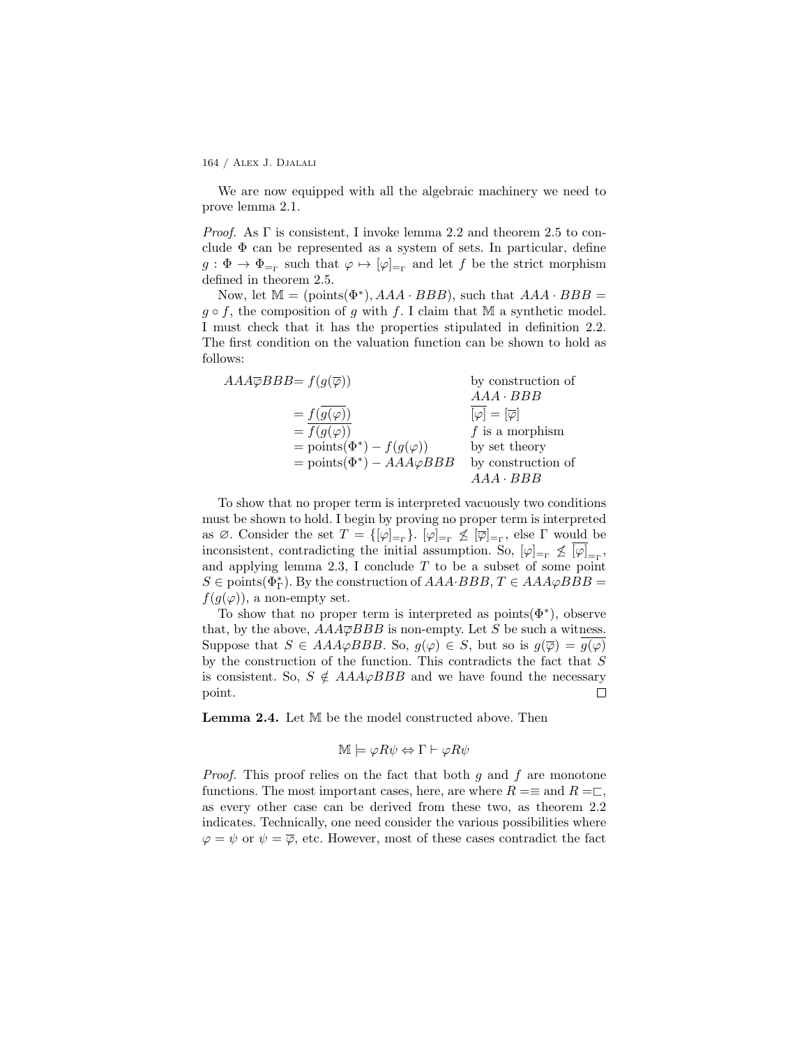We are now equipped with all the algebraic machinery we need to prove lemma 2.1.

*Proof.* As  $\Gamma$  is consistent, I invoke lemma 2.2 and theorem 2.5 to conclude  $\Phi$  can be represented as a system of sets. In particular, define  $g: \Phi \to \Phi_{=_{\Gamma}}$  such that  $\varphi \mapsto [\varphi]_{=_{\Gamma}}$  and let f be the strict morphism defined in theorem 2.5.

Now, let  $M = (points(\Phi^*), AAA \cdot BBB)$ , such that  $AAA \cdot BBB =$  $g \circ f$ , the composition of  $g$  with  $f$ . I claim that M a synthetic model. I must check that it has the properties stipulated in definition 2.2. The first condition on the valuation function can be shown to hold as follows:

| $AA\overline{\varphi}BBB=f(g(\overline{\varphi}))$ |                                           | by construction of               |
|----------------------------------------------------|-------------------------------------------|----------------------------------|
|                                                    |                                           | $AAA \cdot BBB$                  |
| $= f(g(\varphi))$                                  |                                           | $[\varphi]=[\overline{\varphi}]$ |
| $= f(g(\varphi))$                                  |                                           | $f$ is a morphism                |
|                                                    | $=$ points $(\Phi^*)$ – $f(g(\varphi))$   | by set theory                    |
|                                                    | $=$ points( $\Phi^*$ ) – $AAA\varphi BBB$ | by construction of               |
|                                                    |                                           | $AAA \cdot BBB$                  |
|                                                    |                                           |                                  |

To show that no proper term is interpreted vacuously two conditions must be shown to hold. I begin by proving no proper term is interpreted as  $\varnothing$ . Consider the set  $T = {\{\varphi\vert_{=r}}\}$ .  $[\varphi]_{=r} \not\leq [\overline{\varphi}]_{=r}$ , else  $\Gamma$  would be inconsistent, contradicting the initial assumption. So,  $[\varphi]_{=_{\Gamma}} \not\leq [\varphi]_{=_{\Gamma}}$ , and applying lemma 2.3, I conclude *T* to be a subset of some point  $S \in \text{points}(\Phi_{\Gamma}^*)$ . By the construction of  $AAA \cdot BBB$ ,  $T \in AAA\varphi BBB$  =  $f(g(\varphi))$ , a non-empty set.

To show that no proper term is interpreted as points( $\Phi^*$ ), observe that, by the above,  $AAA\overline{\varphi}BBB$  is non-empty. Let *S* be such a witness. Suppose that  $S \in AAA\varphiBBB$ . So,  $g(\varphi) \in S$ , but so is  $g(\overline{\varphi}) = g(\varphi)$ by the construction of the function. This contradicts the fact that *S* is consistent. So,  $S \notin AAA\varphi BBB$  and we have found the necessary point. point.

Lemma 2.4. Let M be the model constructed above. Then

$$
\mathbb{M} \models \varphi R \psi \Leftrightarrow \Gamma \vdash \varphi R \psi
$$

*Proof.* This proof relies on the fact that both *g* and *f* are monotone functions. The most important cases, here, are where  $R = \equiv$  and  $R = \sqsubset$ , as every other case can be derived from these two, as theorem 2.2 indicates. Technically, one need consider the various possibilities where  $\varphi = \psi$  or  $\psi = \overline{\varphi}$ , etc. However, most of these cases contradict the fact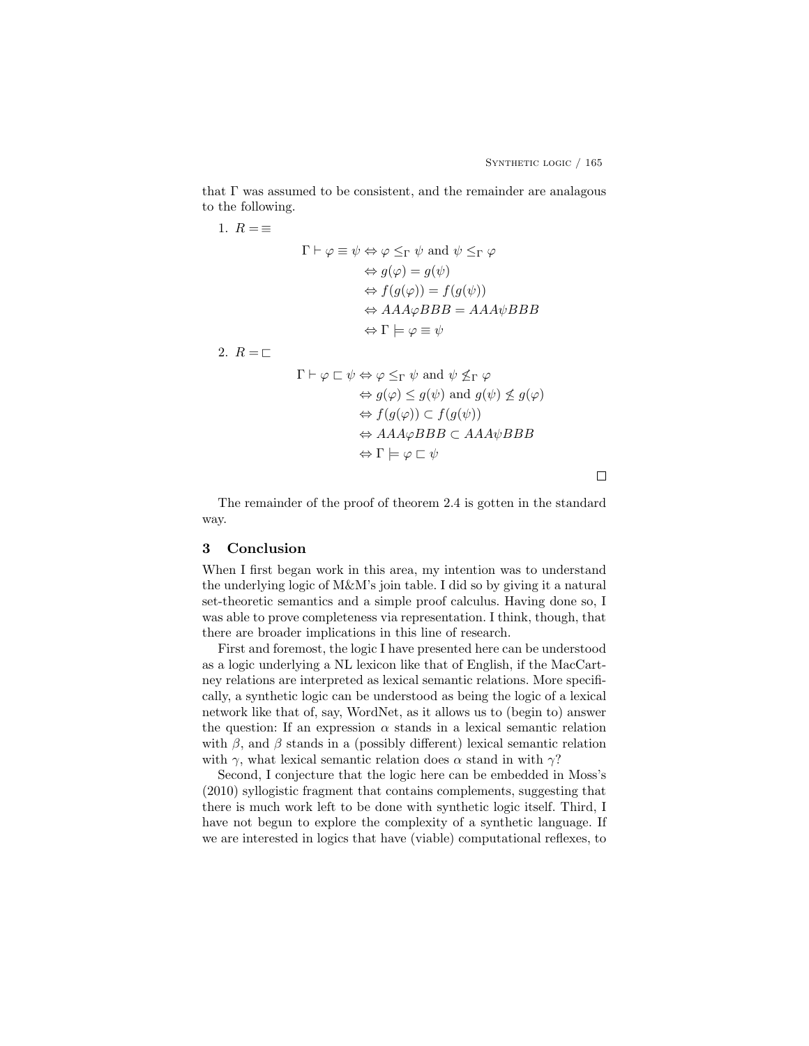$\Box$ 

that  $\Gamma$  was assumed to be consistent, and the remainder are analagous to the following.

1. 
$$
R = \equiv
$$
  
\n
$$
\Gamma \vdash \varphi \equiv \psi \Leftrightarrow \varphi \leq_{\Gamma} \psi \text{ and } \psi \leq_{\Gamma} \varphi
$$
\n
$$
\Leftrightarrow g(\varphi) = g(\psi)
$$
\n
$$
\Leftrightarrow f(g(\varphi)) = f(g(\psi))
$$
\n
$$
\Leftrightarrow AAA\varphiBBB = AAA\psiBBB
$$
\n
$$
\Leftrightarrow \Gamma \models \varphi \equiv \psi
$$

2.  $R = \square$ 

$$
\Gamma \vdash \varphi \sqsubset \psi \Leftrightarrow \varphi \leq_{\Gamma} \psi \text{ and } \psi \nleq_{\Gamma} \varphi
$$
  
\n
$$
\Leftrightarrow g(\varphi) \leq g(\psi) \text{ and } g(\psi) \nleq g(\varphi)
$$
  
\n
$$
\Leftrightarrow f(g(\varphi)) \subset f(g(\psi))
$$
  
\n
$$
\Leftrightarrow AAA\varphiBBB \subset AAA\psiBBB
$$
  
\n
$$
\Leftrightarrow \Gamma \models \varphi \sqsubset \psi
$$

The remainder of the proof of theorem 2.4 is gotten in the standard way.

#### 3 Conclusion

When I first began work in this area, my intention was to understand the underlying logic of M&M's join table. I did so by giving it a natural set-theoretic semantics and a simple proof calculus. Having done so, I was able to prove completeness via representation. I think, though, that there are broader implications in this line of research.

First and foremost, the logic I have presented here can be understood as a logic underlying a NL lexicon like that of English, if the MacCartney relations are interpreted as lexical semantic relations. More specifically, a synthetic logic can be understood as being the logic of a lexical network like that of, say, WordNet, as it allows us to (begin to) answer the question: If an expression  $\alpha$  stands in a lexical semantic relation with  $\beta$ , and  $\beta$  stands in a (possibly different) lexical semantic relation with  $\gamma$ , what lexical semantic relation does  $\alpha$  stand in with  $\gamma$ ?

Second, I conjecture that the logic here can be embedded in Moss's (2010) syllogistic fragment that contains complements, suggesting that there is much work left to be done with synthetic logic itself. Third, I have not begun to explore the complexity of a synthetic language. If we are interested in logics that have (viable) computational reflexes, to